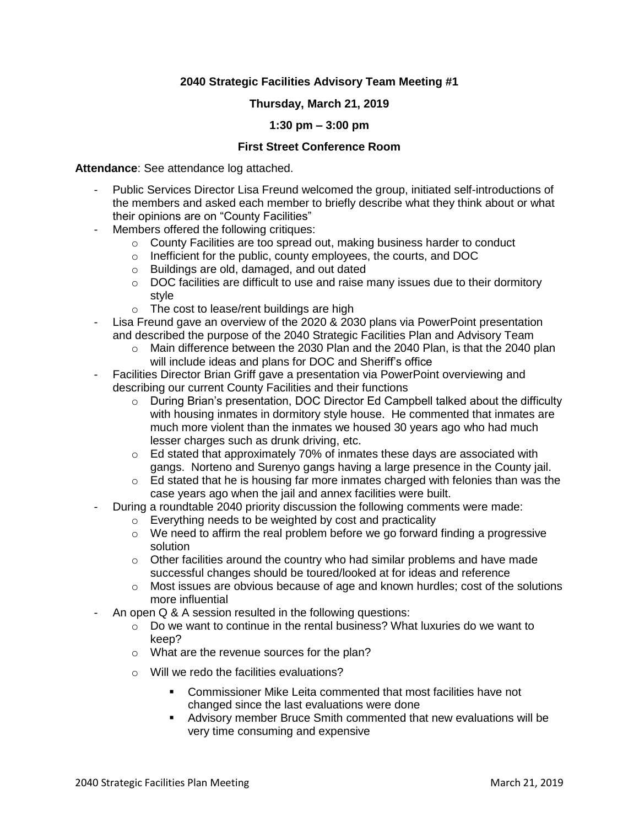## **2040 Strategic Facilities Advisory Team Meeting #1**

### **Thursday, March 21, 2019**

#### **1:30 pm – 3:00 pm**

#### **First Street Conference Room**

**Attendance**: See attendance log attached.

- Public Services Director Lisa Freund welcomed the group, initiated self-introductions of the members and asked each member to briefly describe what they think about or what their opinions are on "County Facilities"
- Members offered the following critiques:
	- o County Facilities are too spread out, making business harder to conduct
	- o Inefficient for the public, county employees, the courts, and DOC
	- o Buildings are old, damaged, and out dated
	- o DOC facilities are difficult to use and raise many issues due to their dormitory style
	- o The cost to lease/rent buildings are high
- Lisa Freund gave an overview of the 2020 & 2030 plans via PowerPoint presentation and described the purpose of the 2040 Strategic Facilities Plan and Advisory Team
	- o Main difference between the 2030 Plan and the 2040 Plan, is that the 2040 plan will include ideas and plans for DOC and Sheriff's office
- Facilities Director Brian Griff gave a presentation via PowerPoint overviewing and describing our current County Facilities and their functions
	- o During Brian's presentation, DOC Director Ed Campbell talked about the difficulty with housing inmates in dormitory style house. He commented that inmates are much more violent than the inmates we housed 30 years ago who had much lesser charges such as drunk driving, etc.
	- o Ed stated that approximately 70% of inmates these days are associated with gangs. Norteno and Surenyo gangs having a large presence in the County jail.
	- $\circ$  Ed stated that he is housing far more inmates charged with felonies than was the case years ago when the jail and annex facilities were built.
- During a roundtable 2040 priority discussion the following comments were made:
	- o Everything needs to be weighted by cost and practicality
	- $\circ$  We need to affirm the real problem before we go forward finding a progressive solution
	- $\circ$  Other facilities around the country who had similar problems and have made successful changes should be toured/looked at for ideas and reference
	- o Most issues are obvious because of age and known hurdles; cost of the solutions more influential
- An open Q & A session resulted in the following questions:
	- $\circ$  Do we want to continue in the rental business? What luxuries do we want to keep?
	- o What are the revenue sources for the plan?
	- o Will we redo the facilities evaluations?
		- Commissioner Mike Leita commented that most facilities have not changed since the last evaluations were done
		- **■** Advisory member Bruce Smith commented that new evaluations will be very time consuming and expensive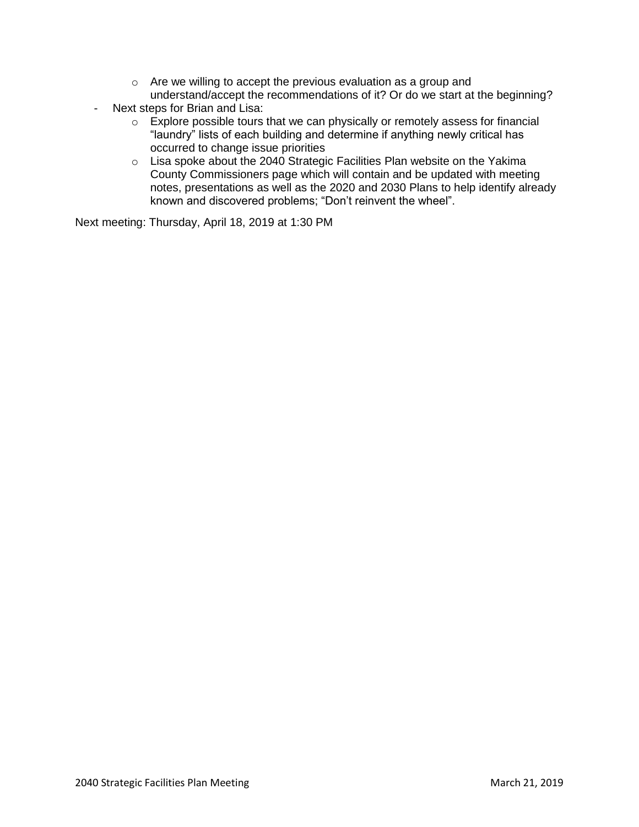- o Are we willing to accept the previous evaluation as a group and understand/accept the recommendations of it? Or do we start at the beginning?
- Next steps for Brian and Lisa:
	- o Explore possible tours that we can physically or remotely assess for financial "laundry" lists of each building and determine if anything newly critical has occurred to change issue priorities
	- o Lisa spoke about the 2040 Strategic Facilities Plan website on the Yakima County Commissioners page which will contain and be updated with meeting notes, presentations as well as the 2020 and 2030 Plans to help identify already known and discovered problems; "Don't reinvent the wheel".

Next meeting: Thursday, April 18, 2019 at 1:30 PM